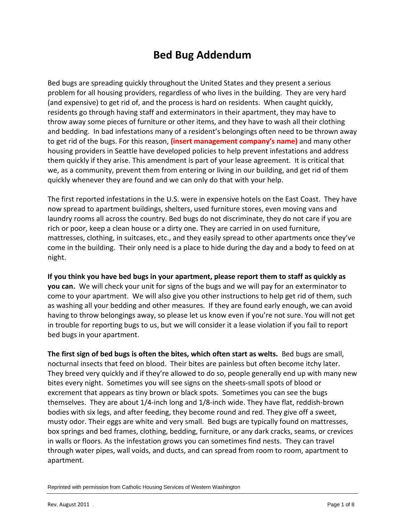# **Bed Bug Addendum**

Bed bugs are spreading quickly throughout the United States and they present a serious problem for all housing providers, regardless of who lives in the building. They are very hard (and expensive) to get rid of, and the process is hard on residents. When caught quickly, residents go through having staff and exterminators in their apartment, they may have to throw away some pieces of furniture or other items, and they have to wash all their clothing and bedding. In bad infestations many of a resident's belongings often need to be thrown away to get rid of the bugs. For this reason, **(insert management company's name)** and many other housing providers in Seattle have developed policies to help prevent infestations and address them quickly if they arise. This amendment is part of your lease agreement. It is critical that we, as a community, prevent them from entering or living in our building, and get rid of them quickly whenever they are found and we can only do that with your help.

The first reported infestations in the U.S. were in expensive hotels on the East Coast. They have now spread to apartment buildings, shelters, used furniture stores, even moving vans and laundry rooms all across the country. Bed bugs do not discriminate, they do not care if you are rich or poor, keep a clean house or a dirty one. They are carried in on used furniture, mattresses, clothing, in suitcases, etc., and they easily spread to other apartments once they've come in the building. Their only need is a place to hide during the day and a body to feed on at night.

**If you think you have bed bugs in your apartment, please report them to staff as quickly as you can.** We will check your unit for signs of the bugs and we will pay for an exterminator to come to your apartment. We will also give you other instructions to help get rid of them, such as washing all your bedding and other measures. If they are found early enough, we can avoid having to throw belongings away, so please let us know even if you're not sure. You will not get in trouble for reporting bugs to us, but we will consider it a lease violation if you fail to report bed bugs in your apartment.

**The first sign of bed bugs is often the bites, which often start as welts.** Bed bugs are small, nocturnal insects that feed on blood. Their bites are painless but often become itchy later. They breed very quickly and if they're allowed to do so, people generally end up with many new bites every night. Sometimes you will see signs on the sheets-small spots of blood or excrement that appears as tiny brown or black spots. Sometimes you can see the bugs themselves. They are about 1/4-inch long and 1/8-inch wide. They have flat, reddish-brown bodies with six legs, and after feeding, they become round and red. They give off a sweet, musty odor. Their eggs are white and very small. Bed bugs are typically found on mattresses, box springs and bed frames, clothing, bedding, furniture, or any dark cracks, seams, or crevices in walls or floors. As the infestation grows you can sometimes find nests. They can travel through water pipes, wall voids, and ducts, and can spread from room to room, apartment to apartment.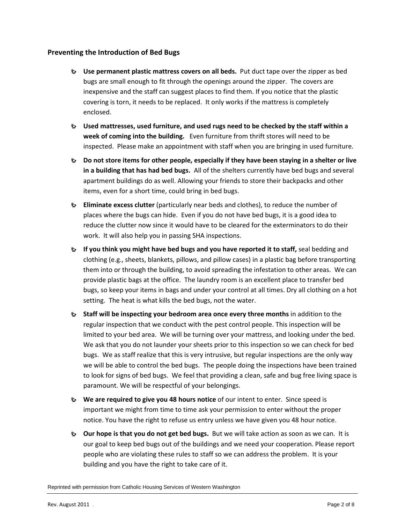### **Preventing the Introduction of Bed Bugs**

- **Use permanent plastic mattress covers on all beds.** Put duct tape over the zipper as bed bugs are small enough to fit through the openings around the zipper. The covers are inexpensive and the staff can suggest places to find them. If you notice that the plastic covering is torn, it needs to be replaced. It only works if the mattress is completely enclosed.
- **Used mattresses, used furniture, and used rugs need to be checked by the staff within a week of coming into the building.** Even furniture from thrift stores will need to be inspected. Please make an appointment with staff when you are bringing in used furniture.
- **Do not store items for other people, especially if they have been staying in a shelter or live in a building that has had bed bugs.** All of the shelters currently have bed bugs and several apartment buildings do as well. Allowing your friends to store their backpacks and other items, even for a short time, could bring in bed bugs.
- **Eliminate excess clutter** (particularly near beds and clothes), to reduce the number of places where the bugs can hide. Even if you do not have bed bugs, it is a good idea to reduce the clutter now since it would have to be cleared for the exterminators to do their work. It will also help you in passing SHA inspections.
- **If you think you might have bed bugs and you have reported it to staff, seal bedding and** clothing (e.g., sheets, blankets, pillows, and pillow cases) in a plastic bag before transporting them into or through the building, to avoid spreading the infestation to other areas. We can provide plastic bags at the office. The laundry room is an excellent place to transfer bed bugs, so keep your items in bags and under your control at all times. Dry all clothing on a hot setting. The heat is what kills the bed bugs, not the water.
- **Staff will be inspecting your bedroom area once every three months** in addition to the regular inspection that we conduct with the pest control people. This inspection will be limited to your bed area. We will be turning over your mattress, and looking under the bed. We ask that you do not launder your sheets prior to this inspection so we can check for bed bugs. We as staff realize that this is very intrusive, but regular inspections are the only way we will be able to control the bed bugs. The people doing the inspections have been trained to look for signs of bed bugs. We feel that providing a clean, safe and bug free living space is paramount. We will be respectful of your belongings.
- **We are required to give you 48 hours notice** of our intent to enter. Since speed is important we might from time to time ask your permission to enter without the proper notice. You have the right to refuse us entry unless we have given you 48 hour notice.
- **Our hope is that you do not get bed bugs.** But we will take action as soon as we can. It is our goal to keep bed bugs out of the buildings and we need your cooperation. Please report people who are violating these rules to staff so we can address the problem. It is your building and you have the right to take care of it.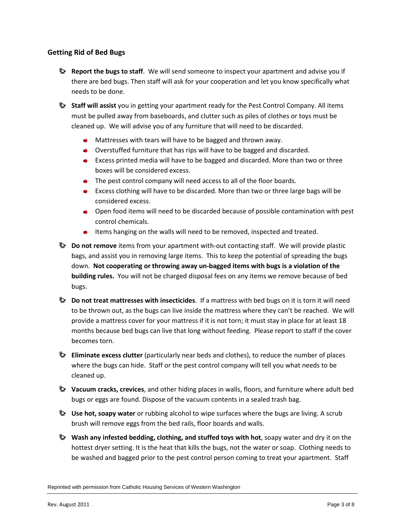### **Getting Rid of Bed Bugs**

- **Report the bugs to staff**. We will send someone to inspect your apartment and advise you if there are bed bugs. Then staff will ask for your cooperation and let you know specifically what needs to be done.
- **Staff will assist** you in getting your apartment ready for the Pest Control Company. All items must be pulled away from baseboards, and clutter such as piles of clothes or toys must be cleaned up. We will advise you of any furniture that will need to be discarded.
	- $\rightarrow$  Mattresses with tears will have to be bagged and thrown away.
	- $\rightarrow$  Overstuffed furniture that has rips will have to be bagged and discarded.
	- Excess printed media will have to be bagged and discarded. More than two or three boxes will be considered excess.
	- $\rightarrow$  The pest control company will need access to all of the floor boards.
	- **►** Excess clothing will have to be discarded. More than two or three large bags will be considered excess.
	- ◆ Open food items will need to be discarded because of possible contamination with pest control chemicals.
	- Items hanging on the walls will need to be removed, inspected and treated.
- **Do not remove** items from your apartment with-out contacting staff. We will provide plastic bags, and assist you in removing large items. This to keep the potential of spreading the bugs down. **Not cooperating or throwing away un-bagged items with bugs is a violation of the building rules.** You will not be charged disposal fees on any items we remove because of bed bugs.
- **Do not treat mattresses with insecticides**. If a mattress with bed bugs on it is torn it will need to be thrown out, as the bugs can live inside the mattress where they can't be reached. We will provide a mattress cover for your mattress if it is not torn; it must stay in place for at least 18 months because bed bugs can live that long without feeding. Please report to staff if the cover becomes torn.
- **Eliminate excess clutter** (particularly near beds and clothes), to reduce the number of places where the bugs can hide. Staff or the pest control company will tell you what needs to be cleaned up.
- **Vacuum cracks, crevices**, and other hiding places in walls, floors, and furniture where adult bed bugs or eggs are found. Dispose of the vacuum contents in a sealed trash bag.
- **De Use hot, soapy water** or rubbing alcohol to wipe surfaces where the bugs are living. A scrub brush will remove eggs from the bed rails, floor boards and walls.
- **Wash any infested bedding, clothing, and stuffed toys with hot**, soapy water and dry it on the hottest dryer setting. It is the heat that kills the bugs, not the water or soap. Clothing needs to be washed and bagged prior to the pest control person coming to treat your apartment. Staff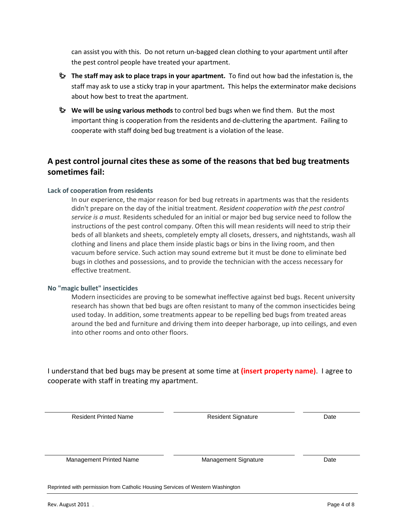can assist you with this. Do not return un-bagged clean clothing to your apartment until after the pest control people have treated your apartment.

- **The staff may ask to place traps in your apartment.** To find out how bad the infestation is, the staff may ask to use a sticky trap in your apartment**.** This helps the exterminator make decisions about how best to treat the apartment.
- **We will be using various methods** to control bed bugs when we find them. But the most important thing is cooperation from the residents and de-cluttering the apartment. Failing to cooperate with staff doing bed bug treatment is a violation of the lease.

### **A pest control journal cites these as some of the reasons that bed bug treatments sometimes fail:**

### **Lack of cooperation from residents**

In our experience, the major reason for bed bug retreats in apartments was that the residents didn't prepare on the day of the initial treatment. *Resident cooperation with the pest control service is a must.* Residents scheduled for an initial or major bed bug service need to follow the instructions of the pest control company. Often this will mean residents will need to strip their beds of all blankets and sheets, completely empty all closets, dressers, and nightstands, wash all clothing and linens and place them inside plastic bags or bins in the living room, and then vacuum before service. Such action may sound extreme but it must be done to eliminate bed bugs in clothes and possessions, and to provide the technician with the access necessary for effective treatment.

### **No "magic bullet" insecticides**

Modern insecticides are proving to be somewhat ineffective against bed bugs. Recent university research has shown that bed bugs are often resistant to many of the common insecticides being used today. In addition, some treatments appear to be repelling bed bugs from treated areas around the bed and furniture and driving them into deeper harborage, up into ceilings, and even into other rooms and onto other floors.

I understand that bed bugs may be present at some time at **(insert property name)**. I agree to cooperate with staff in treating my apartment.

| <b>Resident Printed Name</b>                                                   | <b>Resident Signature</b>   | Date |
|--------------------------------------------------------------------------------|-----------------------------|------|
| Management Printed Name                                                        | <b>Management Signature</b> | Date |
| Reprinted with permission from Catholic Housing Services of Western Washington |                             |      |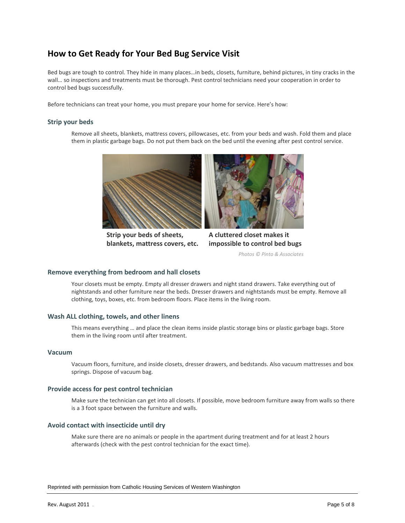## **How to Get Ready for Your Bed Bug Service Visit**

Bed bugs are tough to control. They hide in many places…in beds, closets, furniture, behind pictures, in tiny cracks in the wall… so inspections and treatments must be thorough. Pest control technicians need your cooperation in order to control bed bugs successfully.

Before technicians can treat your home, you must prepare your home for service. Here's how:

#### **Strip your beds**

Remove all sheets, blankets, mattress covers, pillowcases, etc. from your beds and wash. Fold them and place them in plastic garbage bags. Do not put them back on the bed until the evening after pest control service.



**Strip your beds of sheets, blankets, mattress covers, etc.** 



**A cluttered closet makes it impossible to control bed bugs** 

*Photos © Pinto & Associates* 

#### **Remove everything from bedroom and hall closets**

Your closets must be empty. Empty all dresser drawers and night stand drawers. Take everything out of nightstands and other furniture near the beds. Dresser drawers and nightstands must be empty. Remove all clothing, toys, boxes, etc. from bedroom floors. Place items in the living room.

#### **Wash ALL clothing, towels, and other linens**

This means everything … and place the clean items inside plastic storage bins or plastic garbage bags. Store them in the living room until after treatment.

#### **Vacuum**

Vacuum floors, furniture, and inside closets, dresser drawers, and bedstands. Also vacuum mattresses and box springs. Dispose of vacuum bag.

#### **Provide access for pest control technician**

Make sure the technician can get into all closets. If possible, move bedroom furniture away from walls so there is a 3 foot space between the furniture and walls.

#### **Avoid contact with insecticide until dry**

Make sure there are no animals or people in the apartment during treatment and for at least 2 hours afterwards (check with the pest control technician for the exact time).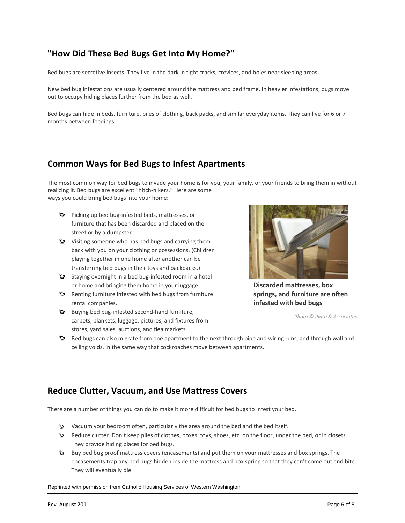## **"How Did These Bed Bugs Get Into My Home?"**

Bed bugs are secretive insects. They live in the dark in tight cracks, crevices, and holes near sleeping areas.

New bed bug infestations are usually centered around the mattress and bed frame. In heavier infestations, bugs move out to occupy hiding places further from the bed as well.

Bed bugs can hide in beds, furniture, piles of clothing, back packs, and similar everyday items. They can live for 6 or 7 months between feedings.

## **Common Ways for Bed Bugs to Infest Apartments**

The most common way for bed bugs to invade your home is for you, your family, or your friends to bring them in without realizing it. Bed bugs are excellent "hitch-hikers." Here are some ways you could bring bed bugs into your home:

- Picking up bed bug-infested beds, mattresses, or furniture that has been discarded and placed on the street or by a dumpster.
- Visiting someone who has bed bugs and carrying them back with you on your clothing or possessions. (Children playing together in one home after another can be transferring bed bugs in their toys and backpacks.)
- Staying overnight in a bed bug-infested room in a hotel or home and bringing them home in your luggage.
- **Renting furniture infested with bed bugs from furniture** rental companies.
- **Buying bed bug-infested second-hand furniture,** carpets, blankets, luggage, pictures, and fixtures from stores, yard sales, auctions, and flea markets.



**Discarded mattresses, box springs, and furniture are often infested with bed bugs** 

*Photo © Pinto & Associates* 

Bed bugs can also migrate from one apartment to the next through pipe and wiring runs, and through wall and ceiling voids, in the same way that cockroaches move between apartments.

## **Reduce Clutter, Vacuum, and Use Mattress Covers**

There are a number of things you can do to make it more difficult for bed bugs to infest your bed.

- Vacuum your bedroom often, particularly the area around the bed and the bed itself.
- Reduce clutter. Don't keep piles of clothes, boxes, toys, shoes, etc. on the floor, under the bed, or in closets. They provide hiding places for bed bugs.
- Buy bed bug proof mattress covers (encasements) and put them on your mattresses and box springs. The encasements trap any bed bugs hidden inside the mattress and box spring so that they can't come out and bite. They will eventually die.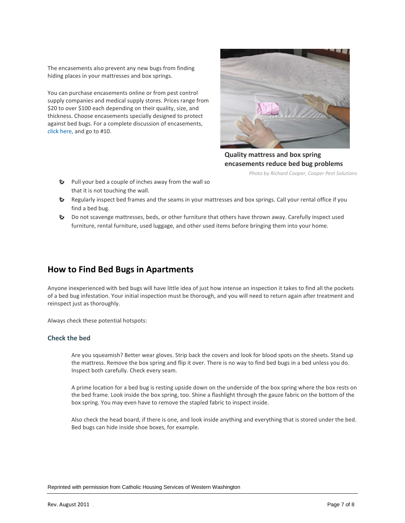The encasements also prevent any new bugs from finding hiding places in your mattresses and box springs.

You can purchase encasements online or from pest control supply companies and medical supply stores. Prices range from \$20 to over \$100 each depending on their quality, size, and thickness. Choose encasements specially designed to protect against bed bugs. For a complete discussion of encasements, [click here,](http://www.techletter.com/Archive/Technical%20Articles/bedbugrecommend.html) and go to #10.



**Quality mattress and box spring encasements reduce bed bug problems** 

*Photo by Richard Cooper, Cooper Pest Solutions* 

- Pull your bed a couple of inches away from the wall so that it is not touching the wall.
- Regularly inspect bed frames and the seams in your mattresses and box springs. Call your rental office if you find a bed bug.
- Do not scavenge mattresses, beds, or other furniture that others have thrown away. Carefully inspect used furniture, rental furniture, used luggage, and other used items before bringing them into your home.

## **How to Find Bed Bugs in Apartments**

Anyone inexperienced with bed bugs will have little idea of just how intense an inspection it takes to find all the pockets of a bed bug infestation. Your initial inspection must be thorough, and you will need to return again after treatment and reinspect just as thoroughly.

Always check these potential hotspots:

#### **Check the bed**

Are you squeamish? Better wear gloves. Strip back the covers and look for blood spots on the sheets. Stand up the mattress. Remove the box spring and flip it over. There is no way to find bed bugs in a bed unless you do. Inspect both carefully. Check every seam.

A prime location for a bed bug is resting upside down on the underside of the box spring where the box rests on the bed frame. Look inside the box spring, too. Shine a flashlight through the gauze fabric on the bottom of the box spring. You may even have to remove the stapled fabric to inspect inside.

Also check the head board, if there is one, and look inside anything and everything that is stored under the bed. Bed bugs can hide inside shoe boxes, for example.